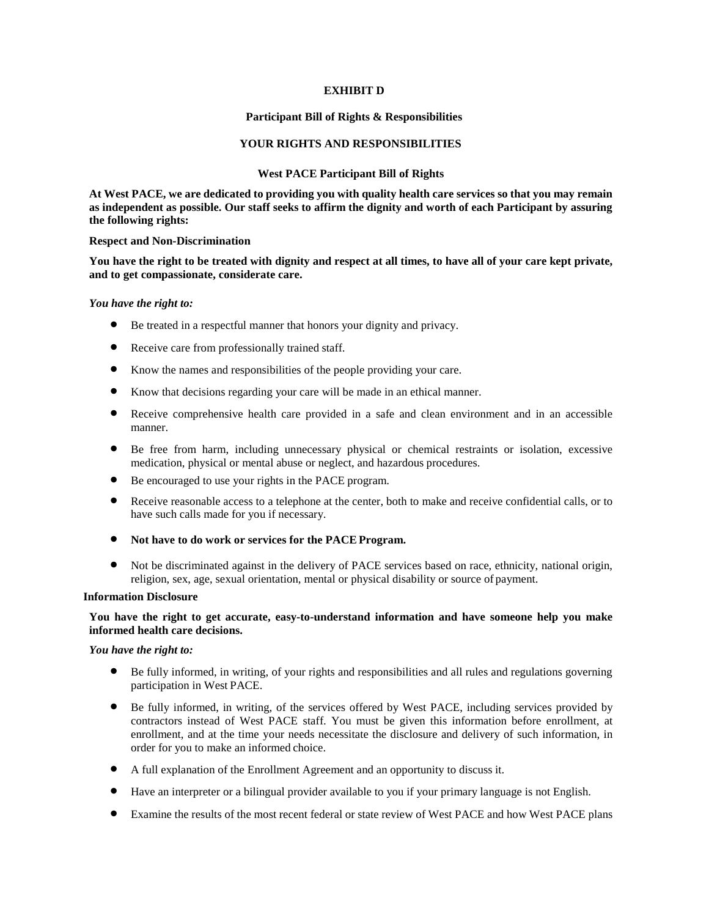## **EXHIBIT D**

#### **Participant Bill of Rights & Responsibilities**

## **YOUR RIGHTS AND RESPONSIBILITIES**

#### **West PACE Participant Bill of Rights**

**At West PACE, we are dedicated to providing you with quality health care services so that you may remain as independent as possible. Our staff seeks to affirm the dignity and worth of each Participant by assuring the following rights:**

#### **Respect and Non-Discrimination**

**You have the right to be treated with dignity and respect at all times, to have all of your care kept private, and to get compassionate, considerate care.**

#### *You have the right to:*

- Be treated in a respectful manner that honors your dignity and privacy.
- Receive care from professionally trained staff.
- Know the names and responsibilities of the people providing your care.
- Know that decisions regarding your care will be made in an ethical manner.
- Receive comprehensive health care provided in a safe and clean environment and in an accessible manner.
- Be free from harm, including unnecessary physical or chemical restraints or isolation, excessive medication, physical or mental abuse or neglect, and hazardous procedures.
- Be encouraged to use your rights in the PACE program.
- Receive reasonable access to a telephone at the center, both to make and receive confidential calls, or to have such calls made for you if necessary.
- **Not have to do work or services for the PACEProgram.**
- Not be discriminated against in the delivery of PACE services based on race, ethnicity, national origin, religion, sex, age, sexual orientation, mental or physical disability or source of payment.

#### **Information Disclosure**

## **You have the right to get accurate, easy-to-understand information and have someone help you make informed health care decisions.**

## *You have the right to:*

- Be fully informed, in writing, of your rights and responsibilities and all rules and regulations governing participation in West PACE.
- Be fully informed, in writing, of the services offered by West PACE, including services provided by contractors instead of West PACE staff. You must be given this information before enrollment, at enrollment, and at the time your needs necessitate the disclosure and delivery of such information, in order for you to make an informed choice.
- A full explanation of the Enrollment Agreement and an opportunity to discuss it.
- Have an interpreter or a bilingual provider available to you if your primary language is not English.
- Examine the results of the most recent federal or state review of West PACE and how West PACE plans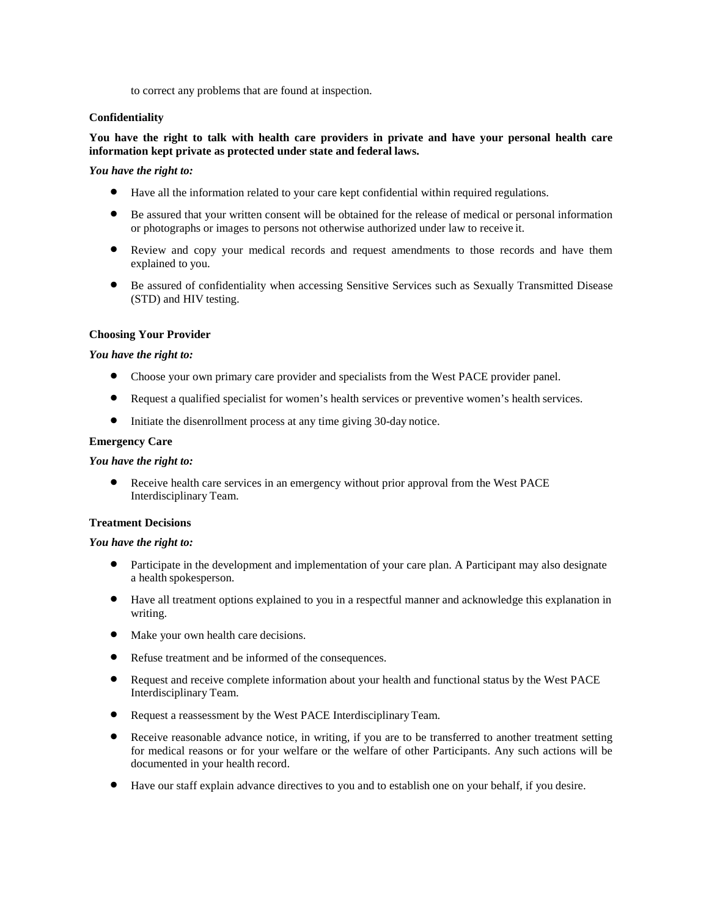to correct any problems that are found at inspection.

## **Confidentiality**

# **You have the right to talk with health care providers in private and have your personal health care information kept private as protected under state and federal laws.**

## *You have the right to:*

- Have all the information related to your care kept confidential within required regulations.
- Be assured that your written consent will be obtained for the release of medical or personal information or photographs or images to persons not otherwise authorized under law to receive it.
- Review and copy your medical records and request amendments to those records and have them explained to you.
- Be assured of confidentiality when accessing Sensitive Services such as Sexually Transmitted Disease (STD) and HIV testing.

## **Choosing Your Provider**

## *You have the right to:*

- Choose your own primary care provider and specialists from the West PACE provider panel.
- Request a qualified specialist for women's health services or preventive women's health services.
- Initiate the disenrollment process at any time giving 30-day notice.

## **Emergency Care**

## *You have the right to:*

• Receive health care services in an emergency without prior approval from the West PACE Interdisciplinary Team.

## **Treatment Decisions**

## *You have the right to:*

- Participate in the development and implementation of your care plan. A Participant may also designate a health spokesperson.
- Have all treatment options explained to you in a respectful manner and acknowledge this explanation in writing.
- Make your own health care decisions.
- Refuse treatment and be informed of the consequences.
- Request and receive complete information about your health and functional status by the West PACE Interdisciplinary Team.
- Request a reassessment by the West PACE Interdisciplinary Team.
- Receive reasonable advance notice, in writing, if you are to be transferred to another treatment setting for medical reasons or for your welfare or the welfare of other Participants. Any such actions will be documented in your health record.
- Have our staff explain advance directives to you and to establish one on your behalf, if you desire.